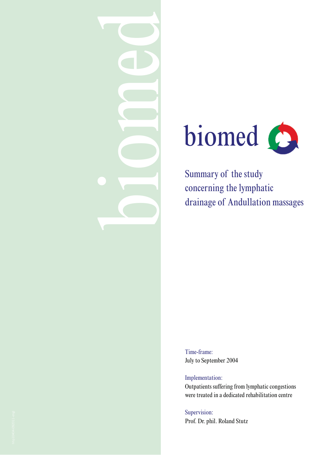



Summary of the study concerning the lymphatic drainage of Andullation massages

Time-frame: July to September 2004

Implementation: Outpatients suffering from lymphatic congestions were treated in a dedicated rehabilitation centre

Supervision: Prof. Dr. phil. Roland Stutz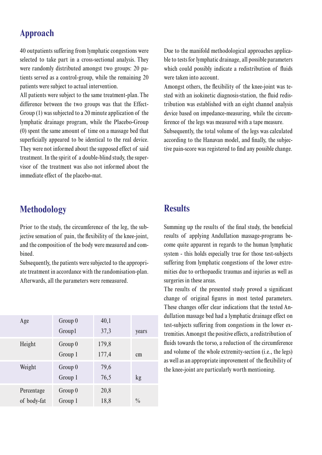### **Approach**

40 outpatients suffering from lymphatic congestions were selected to take part in a cross-sectional analysis. They were randomly distributed amongst two groups: 20 patients served as a control-group, while the remaining 20 patients were subject to actual intervention.

All patients were subject to the same treatment-plan. The difference between the two groups was that the Effect- Group  $(1)$  was subjected to a 20 minute application of the lymphatic drainage program, while the Placebo-Group (0) spent the same amount of time on a massage bed that superficially appeared to be identical to the real device. They were not informed about the supposed effect of said treatment. In the spirit of a double-blind study, the supervisor of the treatment was also not informed about the immediate effect of the placebo-mat.

**Methodology** 

Prior to the study, the circumference of the leg, the subjective sensation of pain, the flexibility of the knee-joint, and the composition of the body were measured and combined.

Subsequently, the patients were subjected to the appropriate treatment in accordance with the randomisation-plan. Afterwards, all the parameters were remeasured.

| Age         | Group 0 | 40,1  |               |
|-------------|---------|-------|---------------|
|             | Group1  | 37,3  | years         |
| Height      | Group 0 | 179,8 |               |
|             | Group 1 | 177,4 | cm            |
| Weight      | Group 0 | 79,6  |               |
|             | Group 1 | 76,5  | kg            |
| Percentage  | Group 0 | 20,8  |               |
| of body-fat | Group 1 | 18,8  | $\frac{0}{0}$ |

Due to the manifold methodological approaches applicable to tests for lymphatic drainage, all possible parameters which could possibly indicate a redistribution of fluids were taken into account.

Amongst others, the flexibility of the knee-joint was tested with an isokinetic diagnosis-station, the fluid redistribution was established with an eight channel analysis device based on impedance-measuring, while the circumference of the legs was measured with a tape measure.

Subsequently, the total volume of the legs was calculated according to the Hanavan model, and finally, the subjective pain-score was registered to find any possible change.

# **Results**

Summing up the results of the final study, the beneficial results of applying Andullation massage-programs become quite apparent in regards to the human lymphatic system - this holds especially true for those test-subjects suffering from lymphatic congestions of the lower extremities due to orthopaedic traumas and injuries as well as surgeries in these areas.

The results of the presented study proved a significant change of original figures in most tested parameters. These changes offer clear indications that the tested Andullation massage bed had a lymphatic drainage effect on test-subjects suffering from congestions in the lower extremities. Amongst the positive effects, a redistribution of fluids towards the torso, a reduction of the circumference and volume of the whole extremity-section (i.e., the legs) as well as an appropriate improvement of the flexibility of the knee-joint are particularly worth mentioning.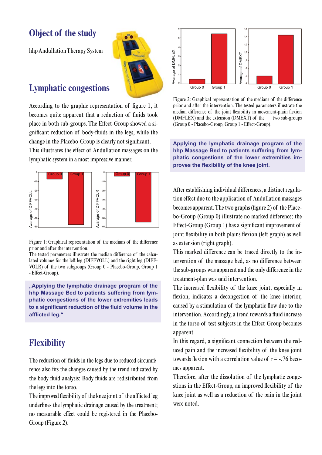# **Object of the study**

hhp Andullation Therapy System

### **Lymphatic congestions**

According to the graphic representation of figure 1, it becomes quite apparent that a reduction of fluids took place in both sub-groups. The Effect-Group showed a significant reduction of body-fluids in the legs, while the change in the Placebo-Group is clearly not significant. This illustrates the effect of Andullation massages on the

lymphatic system in a most impressive manner.



Figure 1: Graphical representation of the medians of the difference prior and after the intervention.

The tested parameters illustrate the median difference of the calculated volumes for the left leg (DIFFVOLL) and the right leg (DIFF-VOLR) of the two subgroups (Group 0 - Placebo-Group, Group 1 - Effect-Group).

**"Applying the lymphatic drainage program of the hhp Massage Bed to patients suffering from lymphatic congestions of the lower extremities leads**  to a significant reduction of the fluid volume in the afflicted leg."

# **Flexibility**

The reduction of fluids in the legs due to reduced circumference also fits the changes caused by the trend indicated by the body fluid analysis: Body fluids are redistributed from the legs into the torso.

The improved flexibility of the knee joint of the afflicted leg underlines the lymphatic drainage caused by the treatment; no measurable effect could be registered in the Placebo-Group (Figure 2).



Figure 2: Graphical representation of the medians of the difference prior and after the intervention. The tested parameters illustrate the median difference of the joint flexibility in movement-plain flexion (DMFLEX) and the extension (DMEXT) two sub-groups (Group 0 - Placebo-Group, Group 1 - Effect-Group).

**Applying the lymphatic drainage program of the hhp Massage Bed to patients suffering from lymphatic congestions of the lower extremities im** proves the flexibility of the knee joint.

After establishing individual differences, a distinct regulation effect due to the application of Andullation massages becomes apparent. The two graphs (figure 2) of the Placebo-Group (Group 0) illustrate no marked difference; the Effect-Group (Group 1) has a significant improvement of joint flexibility in both plains flexion (left graph) as well as extension (right graph).

This marked difference can be traced directly to the intervention of the massage bed, as no difference between the sub-groups was apparent and the only difference in the treatment-plan was said intervention.

The increased flexibility of the knee joint, especially in flexion, indicates a decongestion of the knee interior, caused by a stimulation of the lymphatic flow due to the intervention. Accordingly, a trend towards a fluid increase in the torso of test-subjects in the Effect-Group becomes apparent.

In this regard, a significant connection between the reduced pain and the increased flexibility of the knee joint towards flexion with a correlation value of  $r = -0.76$  becomes apparent.

Therefore, after the dissolution of the lymphatic congestions in the Effect-Group, an improved flexibility of the knee joint as well as a reduction of the pain in the joint were noted.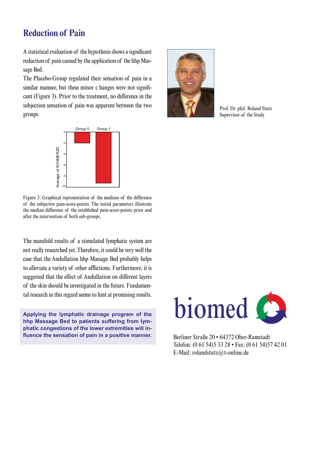### **Reduction of Pain**

A statistical evaluation of the hypothesis shows a significant reduction of pain caused by the application of the hhp Massage Bed.

The Placebo-Group regulated their sensation of pain in a similar manner, but these minor c hanges were not significant (Figure 3). Prior to the treatment, no difference in the subjection sensation of pain was apparent between the two groups.



Figure 3: Graphical representation of the medians of the difference of the subjective pain-score-points. The tested parameters illustrate the median difference of the established pain-score-points prior and after the intervention of both sub-groups.

The manifold results of a stimulated lymphatic system are not really researched yet. Therefore, it could be very well the case that the Andullation hhp Massage Bed probably helps to alleviate a variety of other afflictions. Furthermore, it is suggested that the effect of Andullation on different layers of the skin should be investigated in the future. Fundamental research in this regard seems to hint at promising results.

**Applying the lymphatic drainage program of the hhp Massage Bed to patients suffering from lymphatic congestions of the lower extremities will in** fluence the sensation of pain in a positive manner.



Prof. Dr. phil. Roland Stutz Supervisor of the Study



Berliner Straße 20 • 64372 Ober-Ramstadt Telefon: (0 61 54)5 33 28 • Fax: (0 61 54)57 42 01 E-Mail: rolandstutz@t-online.de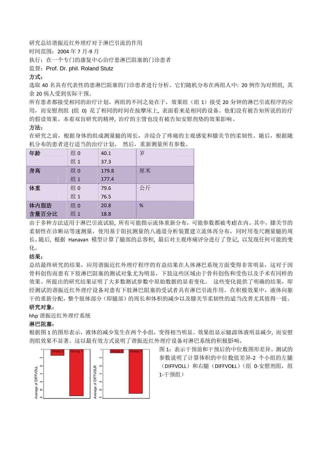研究总结谐振近红外理疗对于淋巴引流的作用

时间范围: 2004年7月-9月

执行: 在一个专门的康复中心治疗患淋巴阻塞的门诊患者

监督: Prof. Dr. phil. Roland Stutz

#### 方式:

选取 40 名具有代表性的患淋巴阻塞的门诊患者进行分析。它们随机分布在两组人中: 20 例作为对照组, 其 余 20 病人受 受到实际干预 预。

所有患者都接受相同的治疗计划。两组的不同之处在于,效果组(组 1)接受 20 分钟的淋巴引流程序的应 用, 而安慰剂组 (组 0) 花了相同的时间在按摩床上, 表面看来是相同的设备。他们没有被告知所说的治疗 的假设效果。本着双盲研究的精神, 治疗的主管也没有被告知安慰剂垫的效果影响。

### 方法:

在研究之前,根据身体的组成测量腿的周长,并综合了疼痛的主观感觉和膝关节的柔韧性。随后,根据随 机分布的患者 者进行适当的 的治疗计划。 然后,重 重新测量所有参 参数。

| 年龄                               | 组 0 | 40.1  | 岁  |  |
|----------------------------------|-----|-------|----|--|
|                                  | 组1  | 37.3  |    |  |
| 身高                               | 组0  | 179.8 | 厘米 |  |
|                                  | 组1  | 177.4 |    |  |
| 体重                               | 组0  | 79.6  | 公斤 |  |
|                                  | 组1  | 76.5  |    |  |
| 体内脂肪                             | 组0  | 20.8  | %  |  |
| 含量百分比                            | 组1  | 18.8  |    |  |
| 由于多种方法适用于淋巴引流试验, 所有可能指示流体重新分布, 『 |     |       |    |  |

由于多种方法适用于淋巴引流试验, 所有可能指示流体重新分布,可能参数都被考虑在内。其中,膝关节的 柔韧性在诊断站等速测量,使用基于阻抗测量的八通道分析装置建立流体再分布, 同时用卷尺测量腿的周 长。随后,根据 Hanavan 模型计算了腿部的总容积,最后对主观疼痛评分进行了登记,以发现任何可能的变 化。

#### 结果:

总结最终研究的结果,应用谐振近红外理疗程序的有益结果在人体淋巴系统方面变得非常明显,这对于因 骨科创伤而患有下肢淋巴困塞的测试对象尤为明显,下肢这些区域由于骨科创伤和受伤以及手术有同样的 效果。所提出的研究结果证明了大多数测试参数中原始数据的显着变化。 这些变化提供了明确的结果,即 经测试的谐振近红外理疗设备对市民的标记的受试者具有淋巴引流作用。在积极效果中,液体向躯 干的重新分配, 整个肢体部分(即腿部)的周长和体积的减少以及膝关节柔韧性的适当改善尤其值得一提。 应疗 随 的周变 因的即躯。 慰 的腿组

#### 研究对象:

hhp 谐振近红 红外理疗系统

#### 淋巴阻塞:

hhp 谐振近红外理疗系统<br>**淋巴阻塞:**<br>根据图 1 的图形表示,液体的减少发生在两个小组,变得相当明显。效果组显示腿部体液明显减少, 而安慰 剂组效果不显著。这以最有效方式说明了谐振近红外理疗设备对淋巴系统的积极影响。



图 1: 表示干预前和干预后的中位数图形差异。 测试的 参数说 说明了计算体 体积的中位数 数值差异‐2 个 个小组的左腿 (DIFFVOLL)和右腿(DIFFVOLL)(组 0-安慰剂组,组 1‐干预 预组)